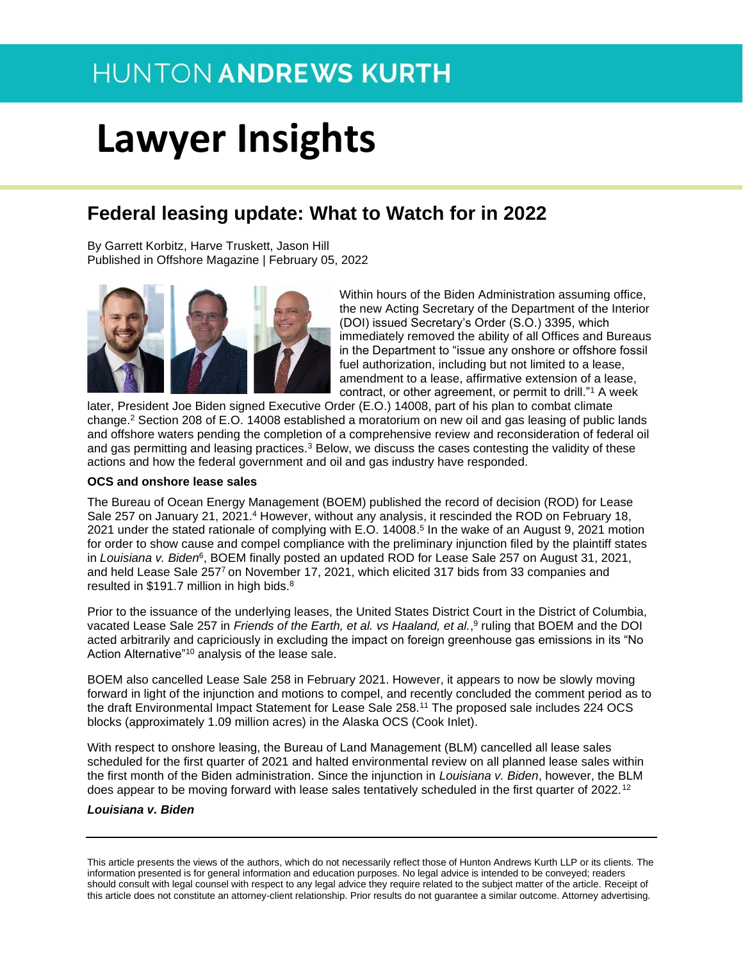# **Lawyer Insights**

### **Federal leasing update: What to Watch for in 2022**

By Garrett Korbitz, Harve Truskett, Jason Hill Published in Offshore Magazine | February 05, 2022



Within hours of the Biden Administration assuming office, the new Acting Secretary of the Department of the Interior (DOI) issued Secretary's Order (S.O.) 3395, which immediately removed the ability of all Offices and Bureaus in the Department to "issue any onshore or offshore fossil fuel authorization, including but not limited to a lease, amendment to a lease, affirmative extension of a lease, contract, or other agreement, or permit to drill."<sup>1</sup> A week

later, President Joe Biden signed Executive Order (E.O.) 14008, part of his plan to combat climate change.<sup>2</sup> Section 208 of E.O. 14008 established a moratorium on new oil and gas leasing of public lands and offshore waters pending the completion of a comprehensive review and reconsideration of federal oil and gas permitting and leasing practices.<sup>3</sup> Below, we discuss the cases contesting the validity of these actions and how the federal government and oil and gas industry have responded.

#### **OCS and onshore lease sales**

The Bureau of Ocean Energy Management (BOEM) published the record of decision (ROD) for Lease Sale 257 on January 21, 2021.<sup>4</sup> However, without any analysis, it rescinded the ROD on February 18, 2021 under the stated rationale of complying with E.O. 14008. 5 In the wake of an August 9, 2021 motion for order to show cause and compel compliance with the preliminary injunction filed by the plaintiff states in Louisiana v. Biden<sup>6</sup>, BOEM finally posted an updated ROD for Lease Sale 257 on August 31, 2021, and held Lease Sale 257<sup>7</sup>on November 17, 2021, which elicited 317 bids from 33 companies and resulted in \$191.7 million in high bids.<sup>8</sup>

Prior to the issuance of the underlying leases, the United States District Court in the District of Columbia, vacated Lease Sale 257 in *Friends of the Earth, et al. vs Haaland, et al.*, 9 ruling that BOEM and the DOI acted arbitrarily and capriciously in excluding the impact on foreign greenhouse gas emissions in its "No Action Alternative"<sup>10</sup> analysis of the lease sale.

BOEM also cancelled Lease Sale 258 in February 2021. However, it appears to now be slowly moving forward in light of the injunction and motions to compel, and recently concluded the comment period as to the draft Environmental Impact Statement for Lease Sale 258.<sup>11</sup> The proposed sale includes 224 OCS blocks (approximately 1.09 million acres) in the Alaska OCS (Cook Inlet).

With respect to onshore leasing, the Bureau of Land Management (BLM) cancelled all lease sales scheduled for the first quarter of 2021 and halted environmental review on all planned lease sales within the first month of the Biden administration. Since the injunction in *Louisiana v. Biden*, however, the BLM does appear to be moving forward with lease sales tentatively scheduled in the first quarter of 2022.<sup>12</sup>

#### *Louisiana v. Biden*

This article presents the views of the authors, which do not necessarily reflect those of Hunton Andrews Kurth LLP or its clients. The information presented is for general information and education purposes. No legal advice is intended to be conveyed; readers should consult with legal counsel with respect to any legal advice they require related to the subject matter of the article. Receipt of this article does not constitute an attorney-client relationship. Prior results do not guarantee a similar outcome. Attorney advertising.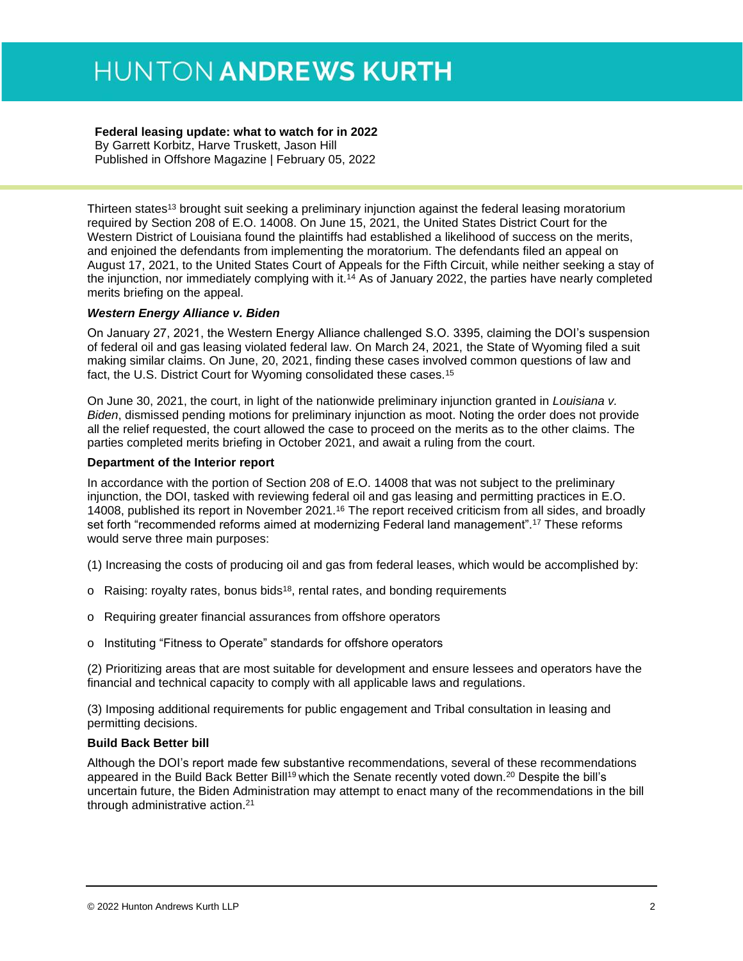#### **Federal leasing update: what to watch for in 2022**

By Garrett Korbitz, Harve Truskett, Jason Hill Published in Offshore Magazine | February 05, 2022

Thirteen states<sup>13</sup> brought suit seeking a preliminary injunction against the federal leasing moratorium required by Section 208 of E.O. 14008. On June 15, 2021, the United States District Court for the Western District of Louisiana found the plaintiffs had established a likelihood of success on the merits, and enjoined the defendants from implementing the moratorium. The defendants filed an appeal on August 17, 2021, to the United States Court of Appeals for the Fifth Circuit, while neither seeking a stay of the injunction, nor immediately complying with it.<sup>14</sup> As of January 2022, the parties have nearly completed merits briefing on the appeal.

#### *Western Energy Alliance v. Biden*

On January 27, 2021, the Western Energy Alliance challenged S.O. 3395, claiming the DOI's suspension of federal oil and gas leasing violated federal law. On March 24, 2021, the State of Wyoming filed a suit making similar claims. On June, 20, 2021, finding these cases involved common questions of law and fact, the U.S. District Court for Wyoming consolidated these cases.<sup>15</sup>

On June 30, 2021, the court, in light of the nationwide preliminary injunction granted in *Louisiana v. Biden*, dismissed pending motions for preliminary injunction as moot. Noting the order does not provide all the relief requested, the court allowed the case to proceed on the merits as to the other claims. The parties completed merits briefing in October 2021, and await a ruling from the court.

#### **Department of the Interior report**

In accordance with the portion of Section 208 of E.O. 14008 that was not subject to the preliminary injunction, the DOI, tasked with reviewing federal oil and gas leasing and permitting practices in E.O. 14008, published its report in November 2021.<sup>16</sup> The report received criticism from all sides, and broadly set forth "recommended reforms aimed at modernizing Federal land management".<sup>17</sup> These reforms would serve three main purposes:

- (1) Increasing the costs of producing oil and gas from federal leases, which would be accomplished by:
- o Raising: royalty rates, bonus bids<sup>18</sup>, rental rates, and bonding requirements
- o Requiring greater financial assurances from offshore operators
- o Instituting "Fitness to Operate" standards for offshore operators

(2) Prioritizing areas that are most suitable for development and ensure lessees and operators have the financial and technical capacity to comply with all applicable laws and regulations.

(3) Imposing additional requirements for public engagement and Tribal consultation in leasing and permitting decisions.

#### **Build Back Better bill**

Although the DOI's report made few substantive recommendations, several of these recommendations appeared in the Build Back Better Bill<sup>19</sup> which the Senate recently voted down.<sup>20</sup> Despite the bill's uncertain future, the Biden Administration may attempt to enact many of the recommendations in the bill through administrative action.21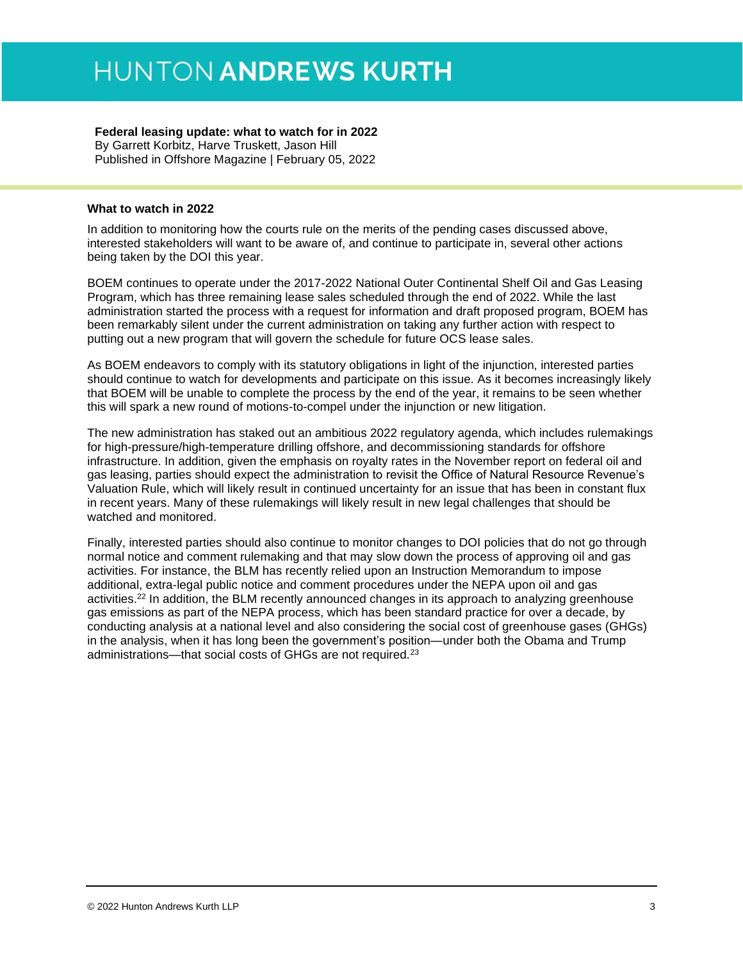#### **Federal leasing update: what to watch for in 2022**

By Garrett Korbitz, Harve Truskett, Jason Hill Published in Offshore Magazine | February 05, 2022

#### **What to watch in 2022**

In addition to monitoring how the courts rule on the merits of the pending cases discussed above, interested stakeholders will want to be aware of, and continue to participate in, several other actions being taken by the DOI this year.

BOEM continues to operate under the 2017-2022 National Outer Continental Shelf Oil and Gas Leasing Program, which has three remaining lease sales scheduled through the end of 2022. While the last administration started the process with a request for information and draft proposed program, BOEM has been remarkably silent under the current administration on taking any further action with respect to putting out a new program that will govern the schedule for future OCS lease sales.

As BOEM endeavors to comply with its statutory obligations in light of the injunction, interested parties should continue to watch for developments and participate on this issue. As it becomes increasingly likely that BOEM will be unable to complete the process by the end of the year, it remains to be seen whether this will spark a new round of motions-to-compel under the injunction or new litigation.

The new administration has staked out an ambitious 2022 regulatory agenda, which includes rulemakings for high-pressure/high-temperature drilling offshore, and decommissioning standards for offshore infrastructure. In addition, given the emphasis on royalty rates in the November report on federal oil and gas leasing, parties should expect the administration to revisit the Office of Natural Resource Revenue's Valuation Rule, which will likely result in continued uncertainty for an issue that has been in constant flux in recent years. Many of these rulemakings will likely result in new legal challenges that should be watched and monitored.

Finally, interested parties should also continue to monitor changes to DOI policies that do not go through normal notice and comment rulemaking and that may slow down the process of approving oil and gas activities. For instance, the BLM has recently relied upon an Instruction Memorandum to impose additional, extra-legal public notice and comment procedures under the NEPA upon oil and gas activities.<sup>22</sup> In addition, the BLM recently announced changes in its approach to analyzing greenhouse gas emissions as part of the NEPA process, which has been standard practice for over a decade, by conducting analysis at a national level and also considering the social cost of greenhouse gases (GHGs) in the analysis, when it has long been the government's position—under both the Obama and Trump administrations—that social costs of GHGs are not required.23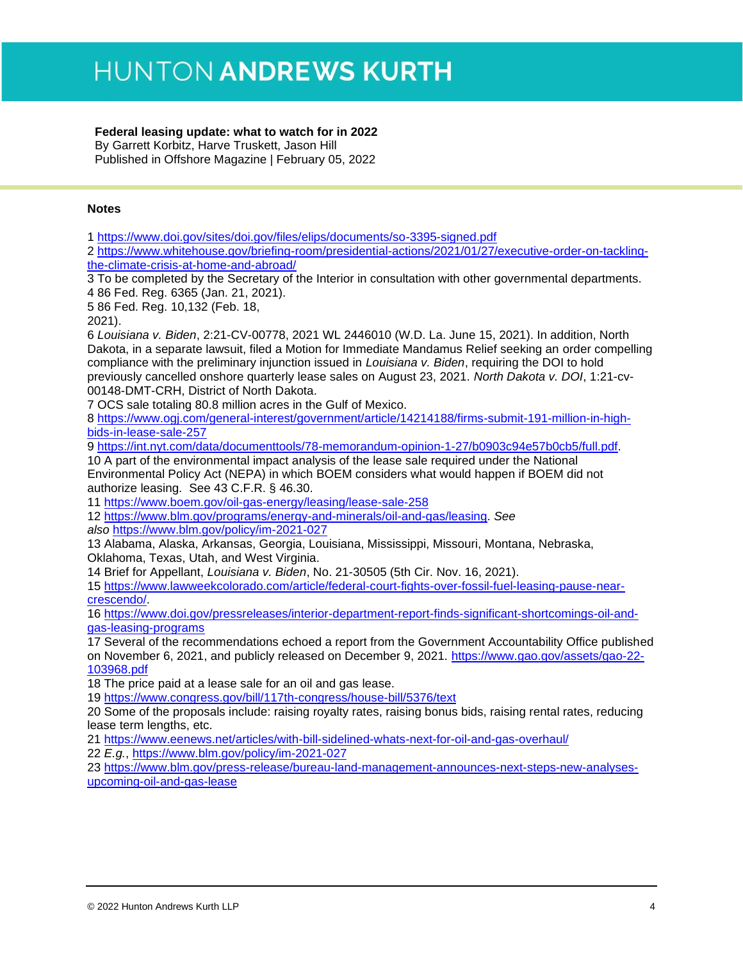#### **Federal leasing update: what to watch for in 2022**

By Garrett Korbitz, Harve Truskett, Jason Hill Published in Offshore Magazine | February 05, 2022

#### **Notes**

1 <https://www.doi.gov/sites/doi.gov/files/elips/documents/so-3395-signed.pdf>

2 [https://www.whitehouse.gov/briefing-room/presidential-actions/2021/01/27/executive-order-on-tackling](https://www.whitehouse.gov/briefing-room/presidential-actions/2021/01/27/executive-order-on-tackling-the-climate-crisis-at-home-and-abroad/)[the-climate-crisis-at-home-and-abroad/](https://www.whitehouse.gov/briefing-room/presidential-actions/2021/01/27/executive-order-on-tackling-the-climate-crisis-at-home-and-abroad/)

3 To be completed by the Secretary of the Interior in consultation with other governmental departments. 4 86 Fed. Reg. 6365 (Jan. 21, 2021).

5 86 Fed. Reg. 10,132 (Feb. 18,

2021).

6 *Louisiana v. Biden*, 2:21-CV-00778, 2021 WL 2446010 (W.D. La. June 15, 2021). In addition, North Dakota, in a separate lawsuit, filed a Motion for Immediate Mandamus Relief seeking an order compelling compliance with the preliminary injunction issued in *Louisiana v. Biden*, requiring the DOI to hold previously cancelled onshore quarterly lease sales on August 23, 2021. *North Dakota v. DOI*, 1:21-cv-00148-DMT-CRH, District of North Dakota.

7 OCS sale totaling 80.8 million acres in the Gulf of Mexico.

8 [https://www.ogj.com/general-interest/government/article/14214188/firms-submit-191-million-in-high](https://www.ogj.com/general-interest/government/article/14214188/firms-submit-191-million-in-high-bids-in-lease-sale-257)[bids-in-lease-sale-257](https://www.ogj.com/general-interest/government/article/14214188/firms-submit-191-million-in-high-bids-in-lease-sale-257)

9 [https://int.nyt.com/data/documenttools/78-memorandum-opinion-1-27/b0903c94e57b0cb5/full.pdf.](https://int.nyt.com/data/documenttools/78-memorandum-opinion-1-27/b0903c94e57b0cb5/full.pdf)

10 A part of the environmental impact analysis of the lease sale required under the National Environmental Policy Act (NEPA) in which BOEM considers what would happen if BOEM did not authorize leasing. See 43 C.F.R. § 46.30.

11 <https://www.boem.gov/oil-gas-energy/leasing/lease-sale-258>

12 [https://www.blm.gov/programs/energy-and-minerals/oil-and-gas/leasing.](https://www.blm.gov/programs/energy-and-minerals/oil-and-gas/leasing) *See also* <https://www.blm.gov/policy/im-2021-027>

13 Alabama, Alaska, Arkansas, Georgia, Louisiana, Mississippi, Missouri, Montana, Nebraska, Oklahoma, Texas, Utah, and West Virginia.

14 Brief for Appellant, *Louisiana v. Biden*, No. 21-30505 (5th Cir. Nov. 16, 2021).

15 [https://www.lawweekcolorado.com/article/federal-court-fights-over-fossil-fuel-leasing-pause-near](https://www.lawweekcolorado.com/article/federal-court-fights-over-fossil-fuel-leasing-pause-near-crescendo/)[crescendo/.](https://www.lawweekcolorado.com/article/federal-court-fights-over-fossil-fuel-leasing-pause-near-crescendo/)

16 [https://www.doi.gov/pressreleases/interior-department-report-finds-significant-shortcomings-oil-and](https://www.doi.gov/pressreleases/interior-department-report-finds-significant-shortcomings-oil-and-gas-leasing-programs)[gas-leasing-programs](https://www.doi.gov/pressreleases/interior-department-report-finds-significant-shortcomings-oil-and-gas-leasing-programs)

17 Several of the recommendations echoed a report from the Government Accountability Office published on November 6, 2021, and publicly released on December 9, 2021. [https://www.gao.gov/assets/gao-22-](https://www.gao.gov/assets/gao-22-103968.pdf) [103968.pdf](https://www.gao.gov/assets/gao-22-103968.pdf)

18 The price paid at a lease sale for an oil and gas lease.

19 <https://www.congress.gov/bill/117th-congress/house-bill/5376/text>

20 Some of the proposals include: raising royalty rates, raising bonus bids, raising rental rates, reducing lease term lengths, etc.

21 <https://www.eenews.net/articles/with-bill-sidelined-whats-next-for-oil-and-gas-overhaul/>

22 *E.g.*,<https://www.blm.gov/policy/im-2021-027>

23 [https://www.blm.gov/press-release/bureau-land-management-announces-next-steps-new-analyses](https://www.blm.gov/press-release/bureau-land-management-announces-next-steps-new-analyses-upcoming-oil-and-gas-lease)[upcoming-oil-and-gas-lease](https://www.blm.gov/press-release/bureau-land-management-announces-next-steps-new-analyses-upcoming-oil-and-gas-lease)